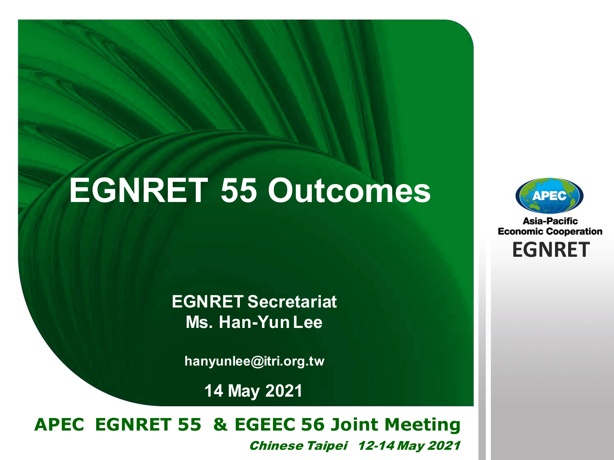# **EGNRET 55 Outcomes**

**EGNRET Secretariat Ms. Han-Yun Lee** 

**hanyunlee@itri.org.tw**

**14 May 2021**

#### **EWG 40** *Brunei Darussalam* **22-26 November, 2010 APEC EGNRET 55 & EGEEC 56 Joint Meeting**  Chinese Taipei 12-14 May 2021



**Asia-Pacific Economic Cooperation EGNRET EGNRET**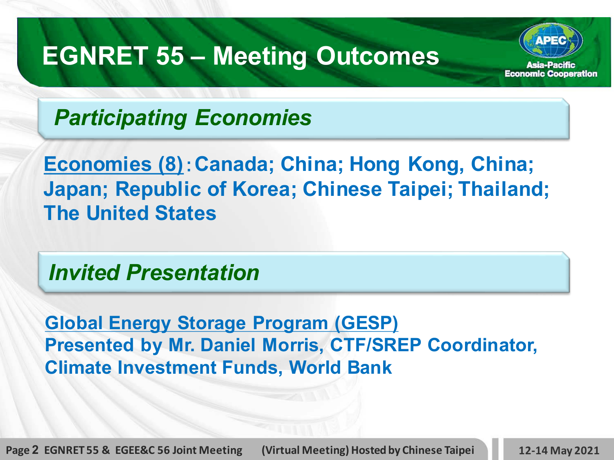

*Participating Economies*

**Economies (8)**:**Canada; China; Hong Kong, China; Japan; Republic of Korea; Chinese Taipei; Thailand; The United States**

*Invited Presentation*

**Global Energy Storage Program (GESP) Presented by Mr. Daniel Morris, CTF/SREP Coordinator, Climate Investment Funds, World Bank**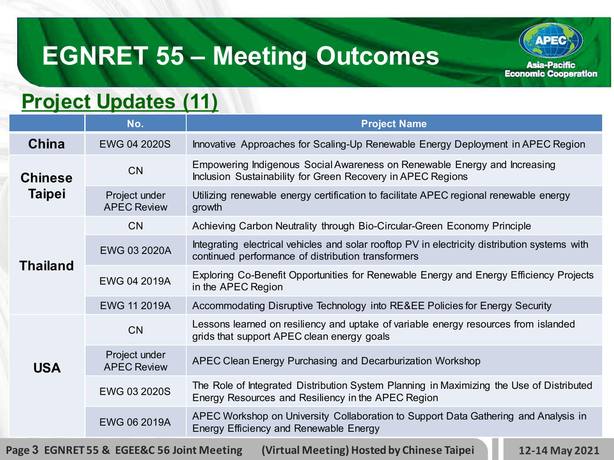#### **Project Updates (11)**

|                                 | No.                                 | <b>Project Name</b>                                                                                                                                 |
|---------------------------------|-------------------------------------|-----------------------------------------------------------------------------------------------------------------------------------------------------|
| China                           | <b>EWG 04 2020S</b>                 | Innovative Approaches for Scaling-Up Renewable Energy Deployment in APEC Region                                                                     |
| <b>Chinese</b><br><b>Taipei</b> | CN                                  | Empowering Indigenous Social Awareness on Renewable Energy and Increasing<br>Inclusion Sustainability for Green Recovery in APEC Regions            |
|                                 | Project under<br><b>APEC Review</b> | Utilizing renewable energy certification to facilitate APEC regional renewable energy<br>growth                                                     |
| <b>Thailand</b>                 | CN                                  | Achieving Carbon Neutrality through Bio-Circular-Green Economy Principle                                                                            |
|                                 | EWG 03 2020A                        | Integrating electrical vehicles and solar rooftop PV in electricity distribution systems with<br>continued performance of distribution transformers |
|                                 | EWG 04 2019A                        | Exploring Co-Benefit Opportunities for Renewable Energy and Energy Efficiency Projects<br>in the APEC Region                                        |
|                                 | <b>EWG 11 2019A</b>                 | Accommodating Disruptive Technology into RE&EE Policies for Energy Security                                                                         |
| <b>USA</b>                      | CN                                  | Lessons learned on resiliency and uptake of variable energy resources from islanded<br>grids that support APEC clean energy goals                   |
|                                 | Project under<br><b>APEC Review</b> | APEC Clean Energy Purchasing and Decarburization Workshop                                                                                           |
|                                 | EWG 03 2020S                        | The Role of Integrated Distribution System Planning in Maximizing the Use of Distributed<br>Energy Resources and Resiliency in the APEC Region      |
|                                 | <b>EWG 06 2019A</b>                 | APEC Workshop on University Collaboration to Support Data Gathering and Analysis in<br>Energy Efficiency and Renewable Energy                       |

**Page 3 EGNRET 55 & EGEE&C 56 Joint Meeting (Virtual Meeting) Hosted by Chinese Taipei 12-14 May 2021**

**APEC** 

**Asia-Pacific Economic Cooperation**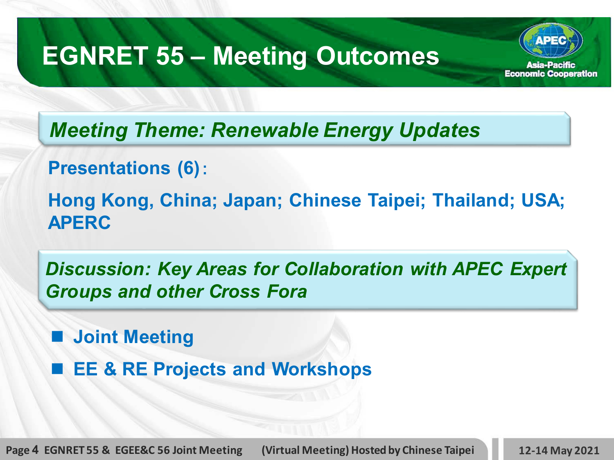*Meeting Theme: Renewable Energy Updates* 

**Presentations (6)**:

**Hong Kong, China; Japan; Chinese Taipei; Thailand; USA; APERC**

*Discussion: Key Areas for Collaboration with APEC Expert Groups and other Cross Fora*

**Joint Meeting**

■ **EE & RE Projects and Workshops** 

**Page 4 EGNRET 55 & EGEE&C 56 Joint Meeting (Virtual Meeting) Hosted by Chinese Taipei 12-14 May 2021**

Asia-Pacific **Economic Cooperation**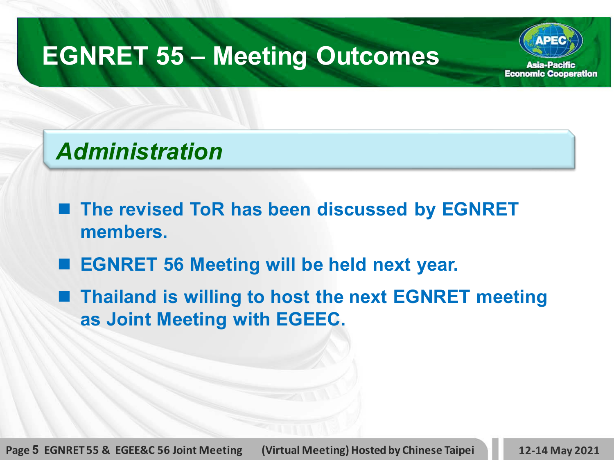#### Asia-Pacific **Economic Cooperation**

### *Administration*

- The revised ToR has been discussed by EGNRET **members.**
- **EGNRET 56 Meeting will be held next year.**
- Thailand is willing to host the next EGNRET meeting **as Joint Meeting with EGEEC.**